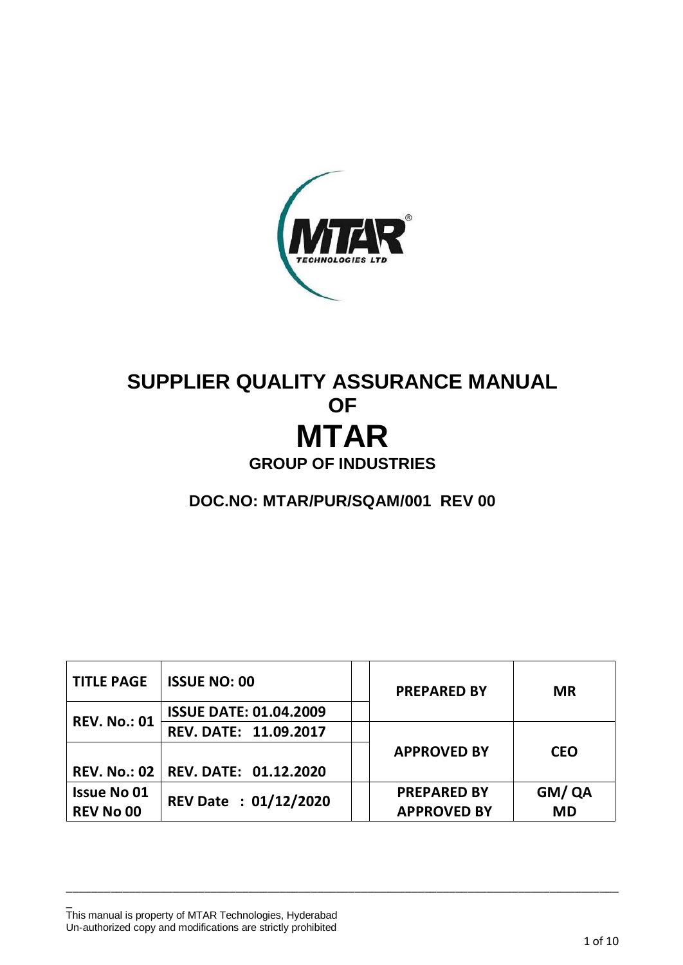

# **SUPPLIER QUALITY ASSURANCE MANUAL OF MTAR GROUP OF INDUSTRIES**

**DOC.NO: MTAR/PUR/SQAM/001 REV 00**

| <b>TITLE PAGE</b>   | <b>ISSUE NO: 00</b>           |  | <b>PREPARED BY</b> | <b>MR</b>  |  |
|---------------------|-------------------------------|--|--------------------|------------|--|
| <b>REV. No.: 01</b> | <b>ISSUE DATE: 01.04.2009</b> |  |                    |            |  |
|                     | REV. DATE: 11.09.2017         |  |                    |            |  |
|                     |                               |  | <b>APPROVED BY</b> | <b>CEO</b> |  |
| <b>REV. No.: 02</b> | REV. DATE: 01.12.2020         |  |                    |            |  |
| <b>Issue No 01</b>  | <b>REV Date : 01/12/2020</b>  |  | <b>PREPARED BY</b> | GM/QA      |  |
| <b>REV No 00</b>    |                               |  | <b>APPROVED BY</b> | <b>MD</b>  |  |

\_\_\_\_\_\_\_\_\_\_\_\_\_\_\_\_\_\_\_\_\_\_\_\_\_\_\_\_\_\_\_\_\_\_\_\_\_\_\_\_\_\_\_\_\_\_\_\_\_\_\_\_\_\_\_\_\_\_\_\_\_\_\_\_\_\_\_\_\_\_\_\_\_\_\_\_\_\_\_\_\_\_\_\_\_\_\_\_

This manual is property of MTAR Technologies, Hyderabad Un-authorized copy and modifications are strictly prohibited

\_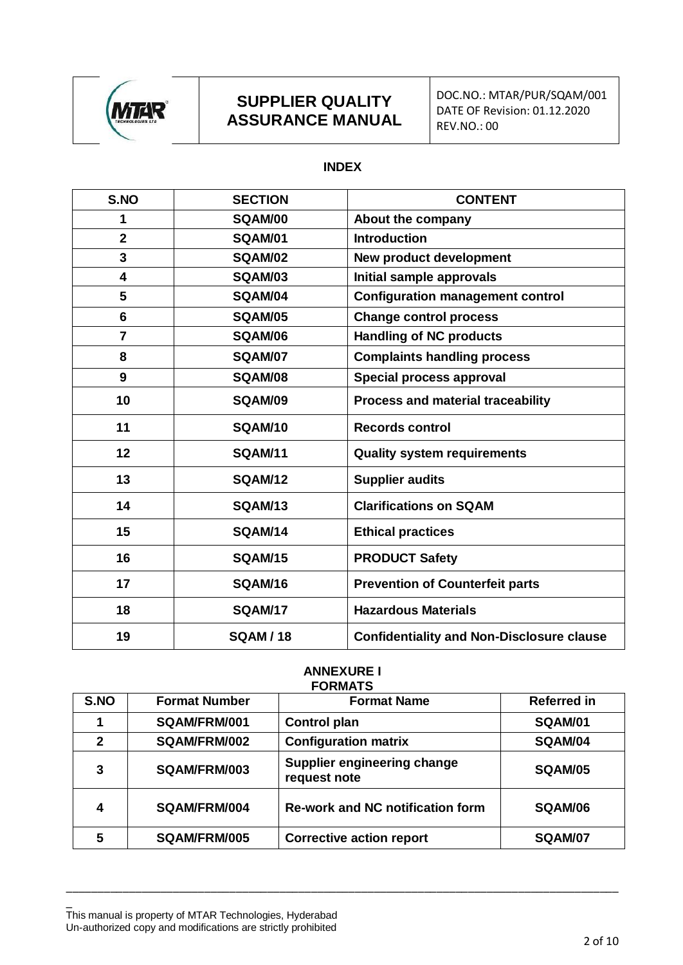

### **SUPPLIER QUALITY ASSURANCE MANUAL**

#### **INDEX**

| S.NO                    | <b>SECTION</b> | <b>CONTENT</b>                                   |  |
|-------------------------|----------------|--------------------------------------------------|--|
| 1                       | SQAM/00        | About the company                                |  |
| $\overline{2}$          | <b>SQAM/01</b> | <b>Introduction</b>                              |  |
| $\overline{\mathbf{3}}$ | <b>SQAM/02</b> | <b>New product development</b>                   |  |
| $\overline{\mathbf{4}}$ | <b>SQAM/03</b> | Initial sample approvals                         |  |
| 5                       | SQAM/04        | <b>Configuration management control</b>          |  |
| $6\phantom{1}$          | <b>SQAM/05</b> | <b>Change control process</b>                    |  |
| $\overline{7}$          | <b>SQAM/06</b> | <b>Handling of NC products</b>                   |  |
| 8                       | <b>SQAM/07</b> | <b>Complaints handling process</b>               |  |
| 9                       | <b>SQAM/08</b> | Special process approval                         |  |
| 10                      | SQAM/09        | <b>Process and material traceability</b>         |  |
| 11                      | SQAM/10        | <b>Records control</b>                           |  |
| 12                      | <b>SQAM/11</b> | <b>Quality system requirements</b>               |  |
| 13                      | <b>SQAM/12</b> | <b>Supplier audits</b>                           |  |
| 14                      | <b>SQAM/13</b> | <b>Clarifications on SQAM</b>                    |  |
| 15                      | SQAM/14        | <b>Ethical practices</b>                         |  |
| 16                      | <b>SQAM/15</b> | <b>PRODUCT Safety</b>                            |  |
| 17                      | SQAM/16        | <b>Prevention of Counterfeit parts</b>           |  |
| 18                      | <b>SQAM/17</b> | <b>Hazardous Materials</b>                       |  |
| 19                      | <b>SQAM/18</b> | <b>Confidentiality and Non-Disclosure clause</b> |  |

#### **ANNEXURE I FORMATS**

| S.NO         | <b>Format Number</b> | <b>Format Name</b>                          | <b>Referred in</b> |
|--------------|----------------------|---------------------------------------------|--------------------|
|              | SQAM/FRM/001         | <b>Control plan</b>                         | <b>SQAM/01</b>     |
| $\mathbf{2}$ | SQAM/FRM/002         | <b>Configuration matrix</b>                 | SQAM/04            |
| 3            | SQAM/FRM/003         | Supplier engineering change<br>request note | SQAM/05            |
| 4            | SQAM/FRM/004         | <b>Re-work and NC notification form</b>     | SQAM/06            |
| 5            | <b>SQAM/FRM/005</b>  | <b>Corrective action report</b>             | SQAM/07            |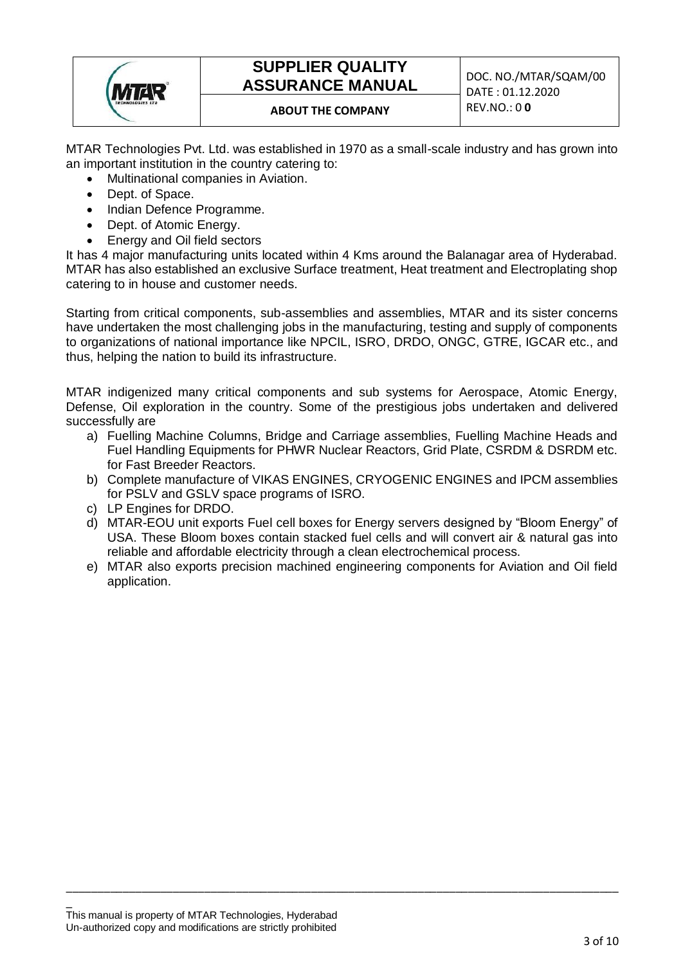

## **SUPPLIER QUALITY ASSURANCE MANUAL DOC. NO./MTAR/SQAM/00**

### **ABOUT THE COMPANY** REV.NO.: 0 **0**

MTAR Technologies Pvt. Ltd. was established in 1970 as a small-scale industry and has grown into an important institution in the country catering to:

- Multinational companies in Aviation.
- Dept. of Space.
- Indian Defence Programme.
- Dept. of Atomic Energy.
- Energy and Oil field sectors

It has 4 major manufacturing units located within 4 Kms around the Balanagar area of Hyderabad. MTAR has also established an exclusive Surface treatment, Heat treatment and Electroplating shop catering to in house and customer needs.

Starting from critical components, sub-assemblies and assemblies, MTAR and its sister concerns have undertaken the most challenging jobs in the manufacturing, testing and supply of components to organizations of national importance like NPCIL, ISRO, DRDO, ONGC, GTRE, IGCAR etc., and thus, helping the nation to build its infrastructure.

MTAR indigenized many critical components and sub systems for Aerospace, Atomic Energy, Defense, Oil exploration in the country. Some of the prestigious jobs undertaken and delivered successfully are

- a) Fuelling Machine Columns, Bridge and Carriage assemblies, Fuelling Machine Heads and Fuel Handling Equipments for PHWR Nuclear Reactors, Grid Plate, CSRDM & DSRDM etc. for Fast Breeder Reactors.
- b) Complete manufacture of VIKAS ENGINES, CRYOGENIC ENGINES and IPCM assemblies for PSLV and GSLV space programs of ISRO.
- c) LP Engines for DRDO.
- d) MTAR-EOU unit exports Fuel cell boxes for Energy servers designed by "Bloom Energy" of USA. These Bloom boxes contain stacked fuel cells and will convert air & natural gas into reliable and affordable electricity through a clean electrochemical process.
- e) MTAR also exports precision machined engineering components for Aviation and Oil field application.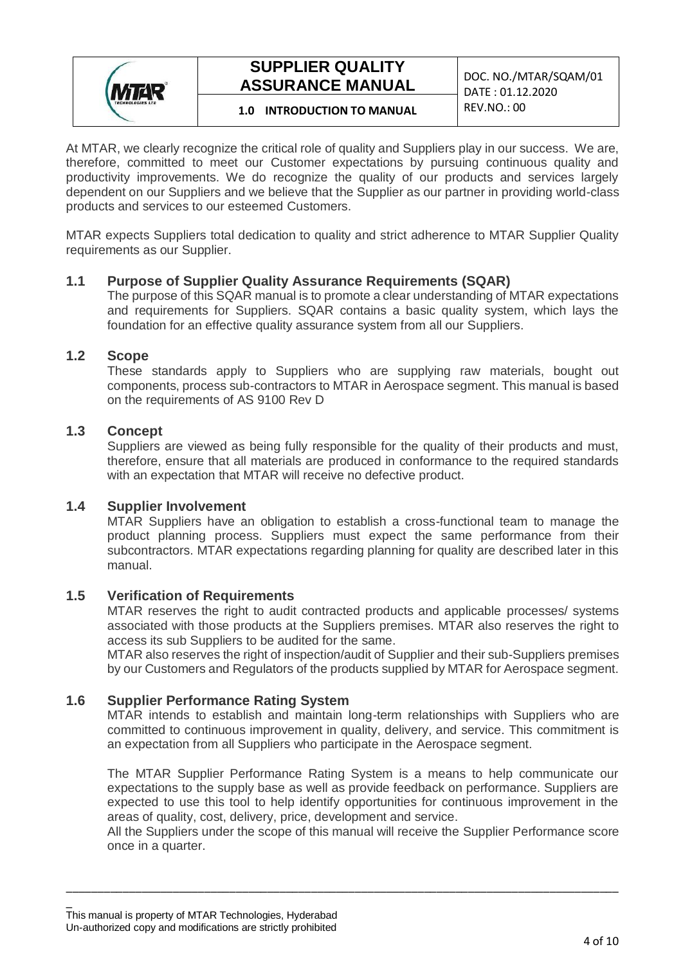

## **SUPPLIER QUALITY ASSURANCE MANUAL**

DOC. NO./MTAR/SQAM/01 DATE : 01.12.2020

## REV.NO.: 00 **1.0 INTRODUCTION TO MANUAL**

At MTAR, we clearly recognize the critical role of quality and Suppliers play in our success. We are, therefore, committed to meet our Customer expectations by pursuing continuous quality and productivity improvements. We do recognize the quality of our products and services largely dependent on our Suppliers and we believe that the Supplier as our partner in providing world-class products and services to our esteemed Customers.

MTAR expects Suppliers total dedication to quality and strict adherence to MTAR Supplier Quality requirements as our Supplier.

#### **1.1 Purpose of Supplier Quality Assurance Requirements (SQAR)**

The purpose of this SQAR manual is to promote a clear understanding of MTAR expectations and requirements for Suppliers. SQAR contains a basic quality system, which lays the foundation for an effective quality assurance system from all our Suppliers.

#### **1.2 Scope**

These standards apply to Suppliers who are supplying raw materials, bought out components, process sub-contractors to MTAR in Aerospace segment. This manual is based on the requirements of AS 9100 Rev D

#### **1.3 Concept**

Suppliers are viewed as being fully responsible for the quality of their products and must, therefore, ensure that all materials are produced in conformance to the required standards with an expectation that MTAR will receive no defective product.

#### **1.4 Supplier Involvement**

MTAR Suppliers have an obligation to establish a cross-functional team to manage the product planning process. Suppliers must expect the same performance from their subcontractors. MTAR expectations regarding planning for quality are described later in this manual.

#### **1.5 Verification of Requirements**

MTAR reserves the right to audit contracted products and applicable processes/ systems associated with those products at the Suppliers premises. MTAR also reserves the right to access its sub Suppliers to be audited for the same.

MTAR also reserves the right of inspection/audit of Supplier and their sub-Suppliers premises by our Customers and Regulators of the products supplied by MTAR for Aerospace segment.

#### **1.6 Supplier Performance Rating System**

MTAR intends to establish and maintain long-term relationships with Suppliers who are committed to continuous improvement in quality, delivery, and service. This commitment is an expectation from all Suppliers who participate in the Aerospace segment.

The MTAR Supplier Performance Rating System is a means to help communicate our expectations to the supply base as well as provide feedback on performance. Suppliers are expected to use this tool to help identify opportunities for continuous improvement in the areas of quality, cost, delivery, price, development and service.

All the Suppliers under the scope of this manual will receive the Supplier Performance score once in a quarter.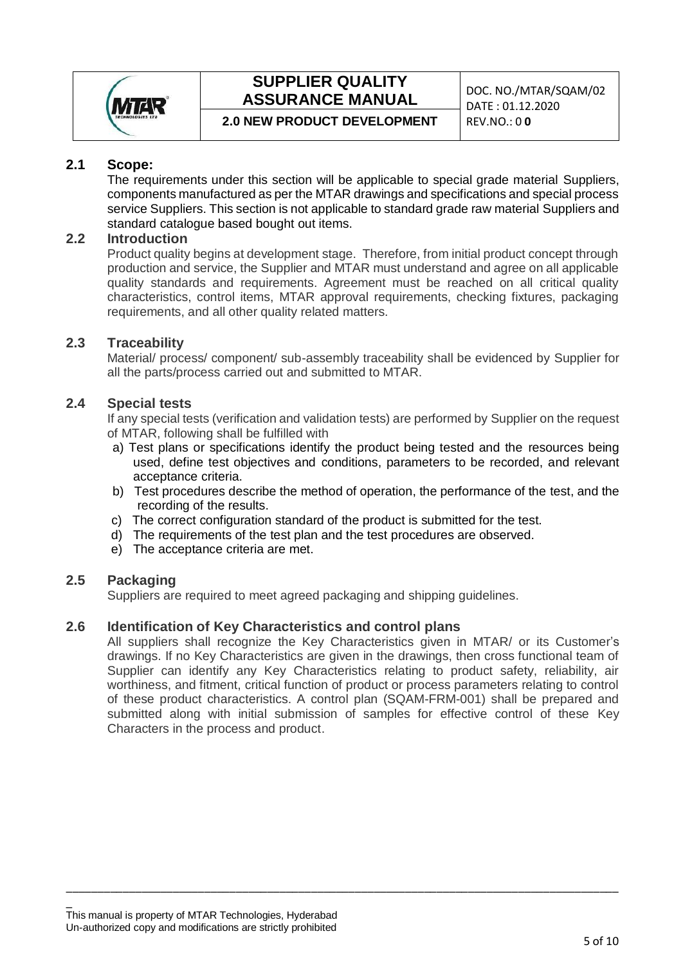

## **SUPPLIER QUALITY ASSURANCE MANUAL DOC. NO./MTAR/SQAM/02**

DATE : 01.12.2020

**2.0 NEW PRODUCT DEVELOPMENT** 

#### **2.1 Scope:**

The requirements under this section will be applicable to special grade material Suppliers, components manufactured as per the MTAR drawings and specifications and special process service Suppliers. This section is not applicable to standard grade raw material Suppliers and standard catalogue based bought out items.

#### **2.2 Introduction**

Product quality begins at development stage. Therefore, from initial product concept through production and service, the Supplier and MTAR must understand and agree on all applicable quality standards and requirements. Agreement must be reached on all critical quality characteristics, control items, MTAR approval requirements, checking fixtures, packaging requirements, and all other quality related matters.

#### **2.3 Traceability**

Material/ process/ component/ sub-assembly traceability shall be evidenced by Supplier for all the parts/process carried out and submitted to MTAR.

#### **2.4 Special tests**

If any special tests (verification and validation tests) are performed by Supplier on the request of MTAR, following shall be fulfilled with

- a) Test plans or specifications identify the product being tested and the resources being used, define test objectives and conditions, parameters to be recorded, and relevant acceptance criteria.
- b) Test procedures describe the method of operation, the performance of the test, and the recording of the results.
- c) The correct configuration standard of the product is submitted for the test.
- d) The requirements of the test plan and the test procedures are observed.
- e) The acceptance criteria are met.

#### **2.5 Packaging**

Suppliers are required to meet agreed packaging and shipping guidelines.

#### **2.6 Identification of Key Characteristics and control plans**

All suppliers shall recognize the Key Characteristics given in MTAR/ or its Customer's drawings. If no Key Characteristics are given in the drawings, then cross functional team of Supplier can identify any Key Characteristics relating to product safety, reliability, air worthiness, and fitment, critical function of product or process parameters relating to control of these product characteristics. A control plan (SQAM-FRM-001) shall be prepared and submitted along with initial submission of samples for effective control of these Key Characters in the process and product.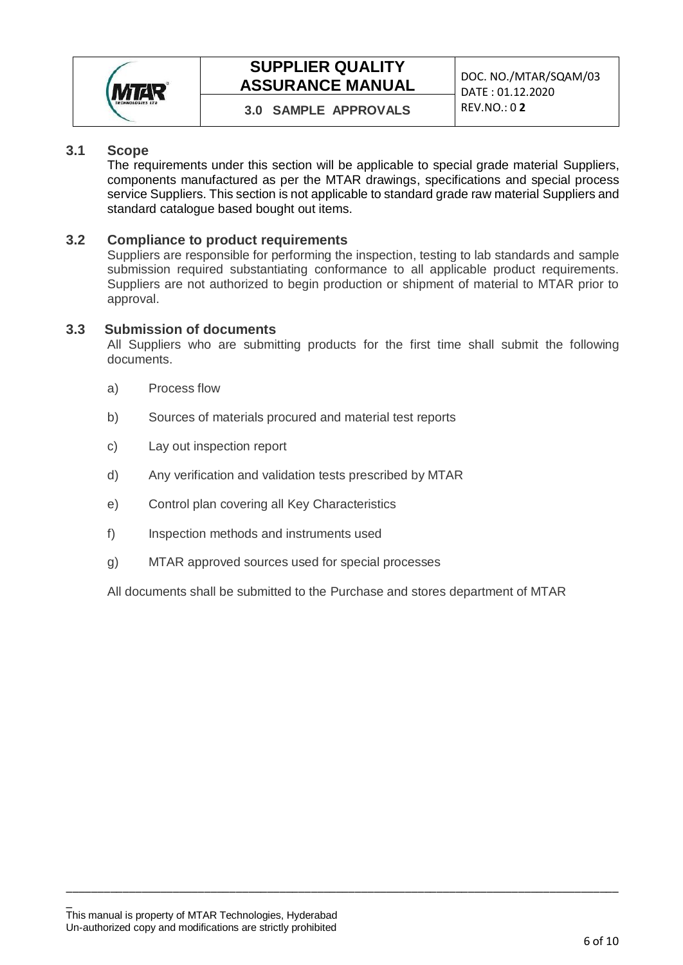

## **SUPPLIER QUALITY ASSURANCE MANUAL DOC. NO./MTAR/SQAM/03**

## **3.0 SAMPLE APPROVALS** REV.NO.: 0 **2**

#### **3.1 Scope**

The requirements under this section will be applicable to special grade material Suppliers, components manufactured as per the MTAR drawings, specifications and special process service Suppliers. This section is not applicable to standard grade raw material Suppliers and standard catalogue based bought out items.

#### **3.2 Compliance to product requirements**

Suppliers are responsible for performing the inspection, testing to lab standards and sample submission required substantiating conformance to all applicable product requirements. Suppliers are not authorized to begin production or shipment of material to MTAR prior to approval.

#### **3.3 Submission of documents**

All Suppliers who are submitting products for the first time shall submit the following documents.

- a) Process flow
- b) Sources of materials procured and material test reports
- c) Lay out inspection report
- d) Any verification and validation tests prescribed by MTAR
- e) Control plan covering all Key Characteristics
- f) Inspection methods and instruments used
- g) MTAR approved sources used for special processes

All documents shall be submitted to the Purchase and stores department of MTAR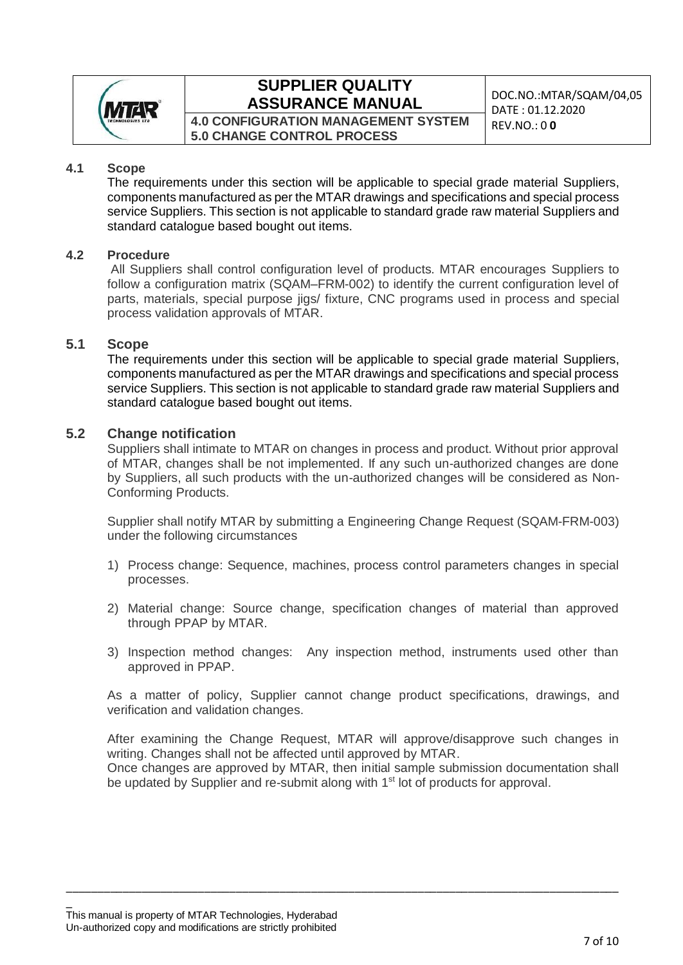

## **SUPPLIER QUALITY ASSURANCE MANUAL** DOC.NO.:MTAR/SQAM/04,05

**4.0 CONFIGURATION MANAGEMENT SYSTEM 5.0 CHANGE CONTROL PROCESS**

DATE : 01.12.2020 REV.NO.: 0 **0**

#### **4.1 Scope**

The requirements under this section will be applicable to special grade material Suppliers, components manufactured as per the MTAR drawings and specifications and special process service Suppliers. This section is not applicable to standard grade raw material Suppliers and standard catalogue based bought out items.

#### **4.2 Procedure**

All Suppliers shall control configuration level of products. MTAR encourages Suppliers to follow a configuration matrix (SQAM–FRM-002) to identify the current configuration level of parts, materials, special purpose jigs/ fixture, CNC programs used in process and special process validation approvals of MTAR.

#### **5.1 Scope**

The requirements under this section will be applicable to special grade material Suppliers, components manufactured as per the MTAR drawings and specifications and special process service Suppliers. This section is not applicable to standard grade raw material Suppliers and standard catalogue based bought out items.

#### **5.2 Change notification**

Suppliers shall intimate to MTAR on changes in process and product. Without prior approval of MTAR, changes shall be not implemented. If any such un-authorized changes are done by Suppliers, all such products with the un-authorized changes will be considered as Non-Conforming Products.

Supplier shall notify MTAR by submitting a Engineering Change Request (SQAM-FRM-003) under the following circumstances

- 1) Process change: Sequence, machines, process control parameters changes in special processes.
- 2) Material change: Source change, specification changes of material than approved through PPAP by MTAR.
- 3) Inspection method changes: Any inspection method, instruments used other than approved in PPAP.

As a matter of policy, Supplier cannot change product specifications, drawings, and verification and validation changes.

After examining the Change Request, MTAR will approve/disapprove such changes in writing. Changes shall not be affected until approved by MTAR.

Once changes are approved by MTAR, then initial sample submission documentation shall be updated by Supplier and re-submit along with 1<sup>st</sup> lot of products for approval.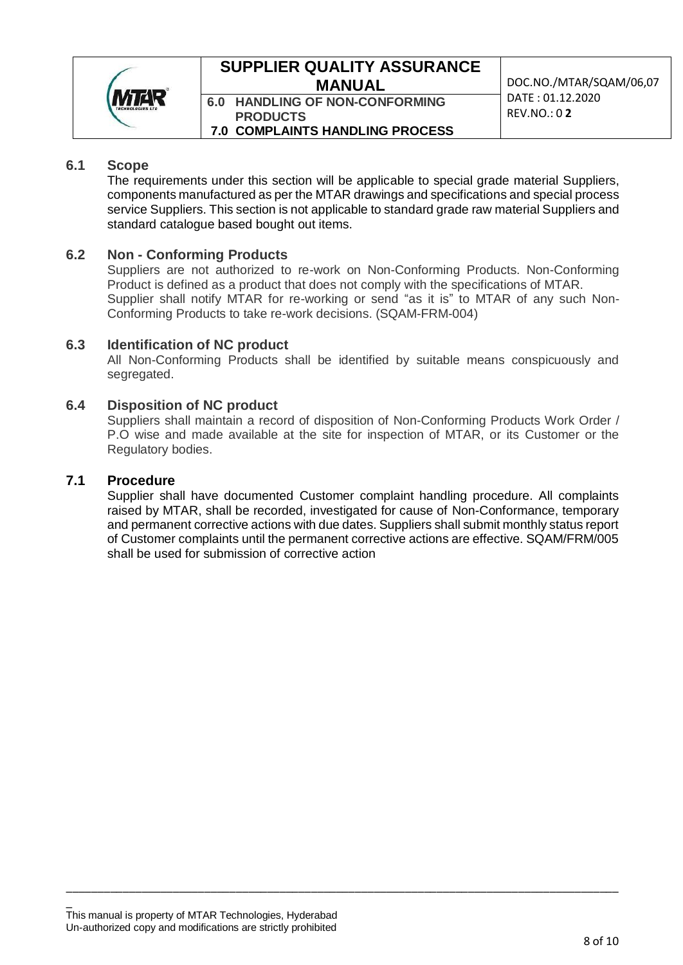

### **SUPPLIER QUALITY ASSURANCE MANUAL DOC.NO./MTAR/SQAM/06,07**

**6.0 HANDLING OF NON-CONFORMING PRODUCTS 7.0 COMPLAINTS HANDLING PROCESS** DATE : 01.12.2020 REV.NO.: 0 **2**

#### **6.1 Scope**

The requirements under this section will be applicable to special grade material Suppliers, components manufactured as per the MTAR drawings and specifications and special process service Suppliers. This section is not applicable to standard grade raw material Suppliers and standard catalogue based bought out items.

#### **6.2 Non - Conforming Products**

Suppliers are not authorized to re-work on Non-Conforming Products. Non-Conforming Product is defined as a product that does not comply with the specifications of MTAR. Supplier shall notify MTAR for re-working or send "as it is" to MTAR of any such Non-Conforming Products to take re-work decisions. (SQAM-FRM-004)

#### **6.3 Identification of NC product**

All Non-Conforming Products shall be identified by suitable means conspicuously and segregated.

#### **6.4 Disposition of NC product**

Suppliers shall maintain a record of disposition of Non-Conforming Products Work Order / P.O wise and made available at the site for inspection of MTAR, or its Customer or the Regulatory bodies.

#### **7.1 Procedure**

Supplier shall have documented Customer complaint handling procedure. All complaints raised by MTAR, shall be recorded, investigated for cause of Non-Conformance, temporary and permanent corrective actions with due dates. Suppliers shall submit monthly status report of Customer complaints until the permanent corrective actions are effective. SQAM/FRM/005 shall be used for submission of corrective action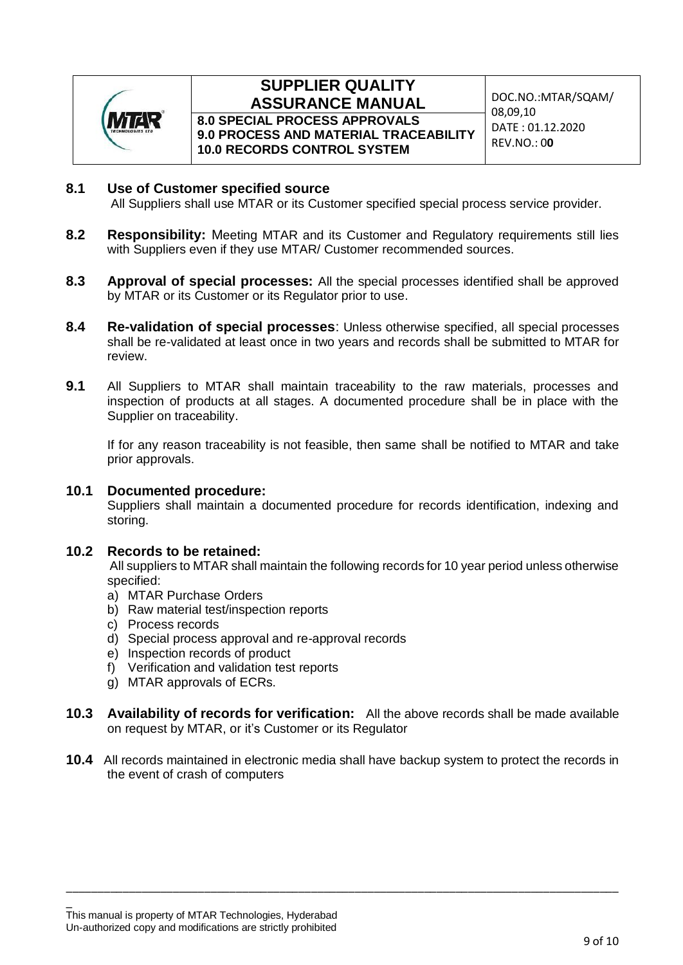

#### **SUPPLIER QUALITY ASSURANCE MANUAL DOC.NO.:MTAR/SQAM/ 8.0 SPECIAL PROCESS APPROVALS**

**9.0 PROCESS AND MATERIAL TRACEABILITY 10.0 RECORDS CONTROL SYSTEM**

08,09,10 DATE : 01.12.2020 REV.NO.: 0**0**

#### **8.1 Use of Customer specified source**

All Suppliers shall use MTAR or its Customer specified special process service provider.

- **8.2 Responsibility:** Meeting MTAR and its Customer and Regulatory requirements still lies with Suppliers even if they use MTAR/ Customer recommended sources.
- **8.3 Approval of special processes:** All the special processes identified shall be approved by MTAR or its Customer or its Regulator prior to use.
- **8.4 Re-validation of special processes**: Unless otherwise specified, all special processes shall be re-validated at least once in two years and records shall be submitted to MTAR for review.
- **9.1** All Suppliers to MTAR shall maintain traceability to the raw materials, processes and inspection of products at all stages. A documented procedure shall be in place with the Supplier on traceability.

If for any reason traceability is not feasible, then same shall be notified to MTAR and take prior approvals.

#### **10.1 Documented procedure:**

Suppliers shall maintain a documented procedure for records identification, indexing and storing.

#### **10.2 Records to be retained:**

All suppliers to MTAR shall maintain the following records for 10 year period unless otherwise specified:

- a) MTAR Purchase Orders
- b) Raw material test/inspection reports
- c) Process records
- d) Special process approval and re-approval records
- e) Inspection records of product
- f) Verification and validation test reports
- g) MTAR approvals of ECRs.
- **10.3 Availability of records for verification:** All the above records shall be made available on request by MTAR, or it's Customer or its Regulator
- **10.4** All records maintained in electronic media shall have backup system to protect the records in the event of crash of computers